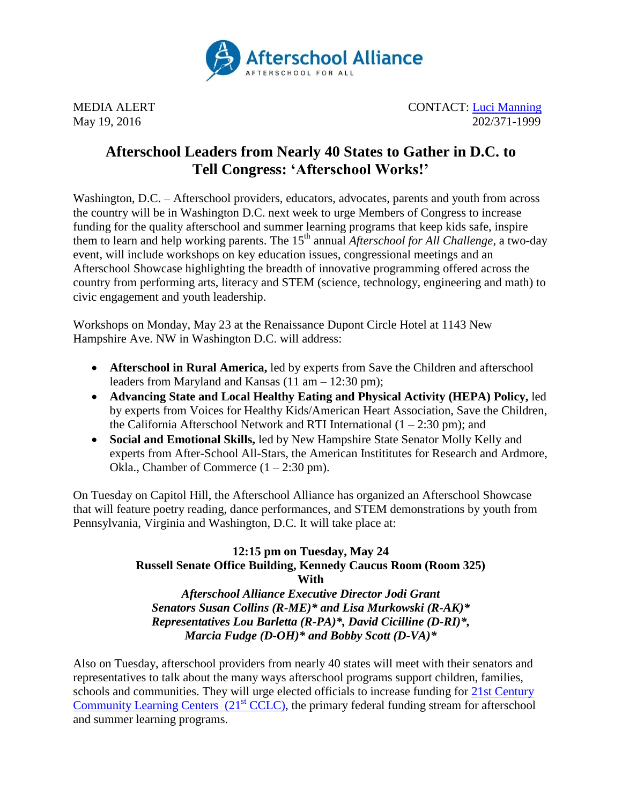

MEDIA ALERT CONTACT: [Luci Manning](mailto:luci@prsolutionsdc.com) May 19, 2016 202/371-1999

## **Afterschool Leaders from Nearly 40 States to Gather in D.C. to Tell Congress: 'Afterschool Works!'**

Washington, D.C. – Afterschool providers, educators, advocates, parents and youth from across the country will be in Washington D.C. next week to urge Members of Congress to increase funding for the quality afterschool and summer learning programs that keep kids safe, inspire them to learn and help working parents. The 15<sup>th</sup> annual *Afterschool for All Challenge*, a two-day event, will include workshops on key education issues, congressional meetings and an Afterschool Showcase highlighting the breadth of innovative programming offered across the country from performing arts, literacy and STEM (science, technology, engineering and math) to civic engagement and youth leadership.

Workshops on Monday, May 23 at the Renaissance Dupont Circle Hotel at 1143 New Hampshire Ave. NW in Washington D.C. will address:

- **Afterschool in Rural America,** led by experts from Save the Children and afterschool leaders from Maryland and Kansas (11 am – 12:30 pm);
- **Advancing State and Local Healthy Eating and Physical Activity (HEPA) Policy,** led by experts from Voices for Healthy Kids/American Heart Association, Save the Children, the California Afterschool Network and RTI International  $(1 – 2:30 \text{ pm})$ ; and
- **Social and Emotional Skills,** led by New Hampshire State Senator Molly Kelly and experts from After-School All-Stars, the American Instititutes for Research and Ardmore, Okla., Chamber of Commerce  $(1 – 2:30 \text{ pm})$ .

On Tuesday on Capitol Hill, the Afterschool Alliance has organized an Afterschool Showcase that will feature poetry reading, dance performances, and STEM demonstrations by youth from Pennsylvania, Virginia and Washington, D.C. It will take place at:

## **12:15 pm on Tuesday, May 24 Russell Senate Office Building, Kennedy Caucus Room (Room 325) With**

*Afterschool Alliance Executive Director Jodi Grant Senators Susan Collins (R-ME)\* and Lisa Murkowski (R-AK)\* Representatives Lou Barletta (R-PA)\*, David Cicilline (D-RI)\*, Marcia Fudge (D-OH)\* and Bobby Scott (D-VA)\**

Also on Tuesday, afterschool providers from nearly 40 states will meet with their senators and representatives to talk about the many ways afterschool programs support children, families, schools and communities. They will urge elected officials to increase funding for [21st Century](http://www.afterschoolalliance.org/policy21stcclc.cfm)  [Community Learning Centers](http://www.afterschoolalliance.org/policy21stcclc.cfm)  $(21<sup>st</sup> CCLC)$ , the primary federal funding stream for afterschool and summer learning programs.